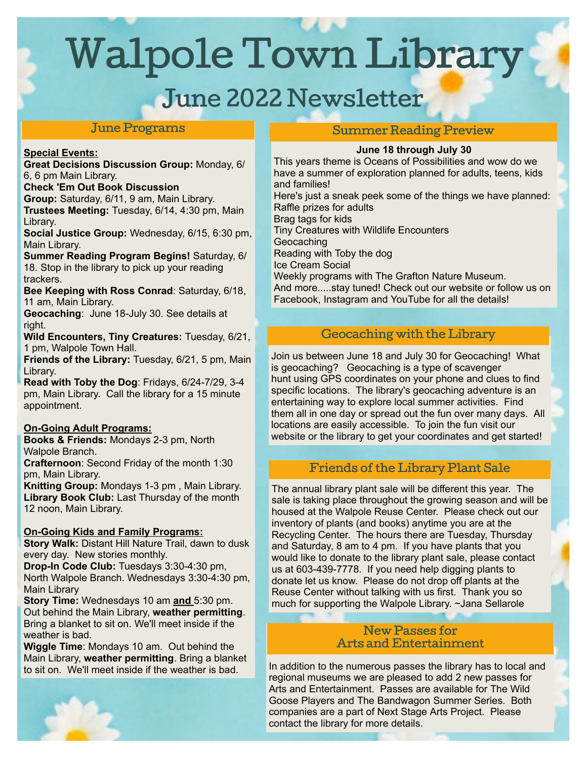Walpole Town Library

# June 2022 Newsletter

## June Programs

#### **Special Events:**

**Great Decisions Discussion Group:** Monday, 6/ 6, 6 pm Main Library.

**Check 'Em Out Book Discussion**

**Group:** Saturday, 6/11, 9 am, Main Library. **Trustees Meeting:** Tuesday, 6/14, 4:30 pm, Main Library.

**Social Justice Group:** Wednesday, 6/15, 6:30 pm, Main Library.

**Summer Reading Program Begins!** Saturday, 6/ 18. Stop in the library to pick up your reading trackers.

**Bee Keeping with Ross Conrad**: Saturday, 6/18, 11 am, Main Library.

**Geocaching**: June 18-July 30. See details at right.

**Wild Encounters, Tiny Creatures:** Tuesday, 6/21, 1 pm, Walpole Town Hall.

**Friends of the Library:** Tuesday, 6/21, 5 pm, Main Library.

**Read with Toby the Dog**: Fridays, 6/24-7/29, 3-4 pm, Main Library. Call the library for a 15 minute appointment.

#### **On-Going Adult Programs:**

**Books & Friends:** Mondays 2-3 pm, North Walpole Branch.

**Crafternoon**: Second Friday of the month 1:30 pm, Main Library.

**Knitting Group:** Mondays 1-3 pm , Main Library. **Library Book Club:** Last Thursday of the month 12 noon, Main Library.

## **On-Going Kids and Family Programs:**

**Story Walk:** Distant Hill Nature Trail, dawn to dusk every day. New stories monthly.

**Drop-In Code Club:** Tuesdays 3:30-4:30 pm, North Walpole Branch. Wednesdays 3:30-4:30 pm, Main Library

**Story Time:** Wednesdays 10 am **and** 5:30 pm. Out behind the Main Library, **weather permitting**. Bring a blanket to sit on. We'll meet inside if the weather is bad.

**Wiggle Time**: Mondays 10 am. Out behind the Main Library, **weather permitting**. Bring a blanket to sit on. We'll meet inside if the weather is bad.

## Summer Reading Preview

#### **June 18 through July 30**

This years theme is Oceans of Possibilities and wow do we have a summer of exploration planned for adults, teens, kids and families! Here's just a sneak peek some of the things we have planned: Raffle prizes for adults Brag tags for kids Tiny Creatures with Wildlife Encounters **Geocaching** Reading with Toby the dog Ice Cream Social Weekly programs with The Grafton Nature Museum.

And more.....stay tuned! Check out our website or follow us on Facebook, Instagram and YouTube for all the details!

# Geocaching with the Library

Join us between June 18 and July 30 for Geocaching! What is geocaching? Geocaching is a type of scavenger hunt using GPS coordinates on your phone and clues to find specific locations. The library's geocaching adventure is an entertaining way to explore local summer activities. Find them all in one day or spread out the fun over many days. All locations are easily accessible. To join the fun visit our website or the library to get your coordinates and get started!

# Friends of the Library Plant Sale

The annual library plant sale will be different this year. The sale is taking place throughout the growing season and will be housed at the Walpole Reuse Center. Please check out our inventory of plants (and books) anytime you are at the Recycling Center. The hours there are Tuesday, Thursday and Saturday, 8 am to 4 pm. If you have plants that you would like to donate to the library plant sale, please contact us at 603-439-7778. If you need help digging plants to donate let us know. Please do not drop off plants at the Reuse Center without talking with us first. Thank you so much for supporting the Walpole Library. ~Jana Sellarole

#### New Passes for Arts and Entertainment

In addition to the numerous passes the library has to local and regional museums we are pleased to add 2 new passes for Arts and Entertainment. Passes are available for The Wild Goose Players and The Bandwagon Summer Series. Both companies are a part of Next Stage Arts Project. Please contact the library for more details.